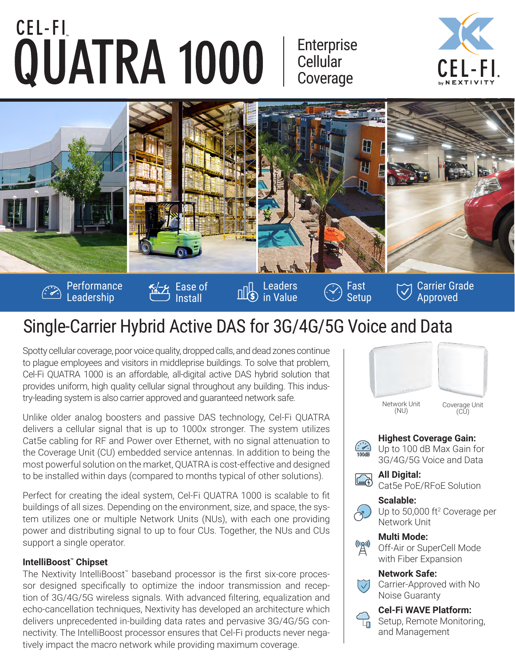# CEL-FI QUATRA 1000

Enterprise **Cellular** Coverage





# Single-Carrier Hybrid Active DAS for 3G/4G/5G Voice and Data

Spotty cellular coverage, poor voice quality, dropped calls, and dead zones continue to plague employees and visitors in middleprise buildings. To solve that problem, Cel-Fi QUATRA 1000 is an affordable, all-digital active DAS hybrid solution that provides uniform, high quality cellular signal throughout any building. This industry-leading system is also carrier approved and guaranteed network safe.

Unlike older analog boosters and passive DAS technology, Cel-Fi QUATRA delivers a cellular signal that is up to 1000x stronger. The system utilizes Cat5e cabling for RF and Power over Ethernet, with no signal attenuation to the Coverage Unit (CU) embedded service antennas. In addition to being the most powerful solution on the market, QUATRA is cost-effective and designed to be installed within days (compared to months typical of other solutions).

Perfect for creating the ideal system, Cel-Fi QUATRA 1000 is scalable to fit buildings of all sizes. Depending on the environment, size, and space, the system utilizes one or multiple Network Units (NUs), with each one providing power and distributing signal to up to four CUs. Together, the NUs and CUs support a single operator.

#### **IntelliBoost™ Chipset**

The Nextivity IntelliBoost™ baseband processor is the first six-core processor designed specifically to optimize the indoor transmission and reception of 3G/4G/5G wireless signals. With advanced filtering, equalization and echo-cancellation techniques, Nextivity has developed an architecture which delivers unprecedented in-building data rates and pervasive 3G/4G/5G connectivity. The IntelliBoost processor ensures that Cel-Fi products never negatively impact the macro network while providing maximum coverage.



#### Up to 100 dB Max Gain for 3G/4G/5G Voice and Data

**All Digital: External** 

Cat5e PoE/RFoE Solution

#### **Scalable:**



Up to 50,000 ft<sup>2</sup> Coverage per Network Unit

#### **Multi Mode:**



Off-Air or SuperCell Mode with Fiber Expansion

#### **Network Safe:**

Carrier-Approved with No Noise Guaranty

#### **Cel-Fi WAVE Platform:**



Setup, Remote Monitoring, and Management